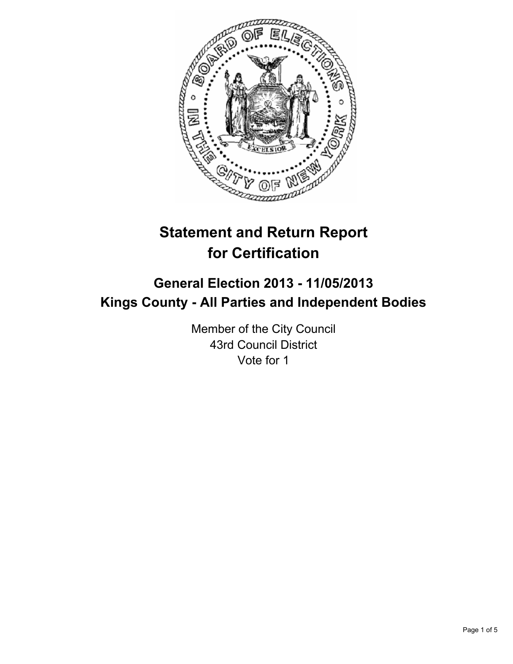

# **Statement and Return Report for Certification**

## **General Election 2013 - 11/05/2013 Kings County - All Parties and Independent Bodies**

Member of the City Council 43rd Council District Vote for 1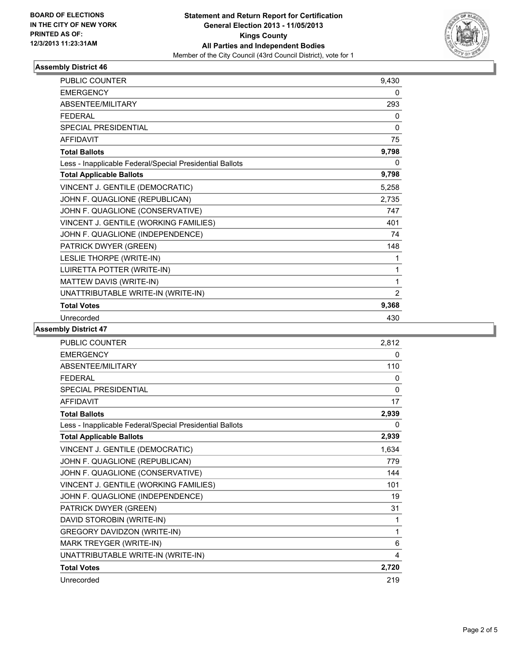

### **Assembly District 46**

| PUBLIC COUNTER                                           | 9,430 |
|----------------------------------------------------------|-------|
| <b>EMERGENCY</b>                                         | 0     |
| <b>ABSENTEE/MILITARY</b>                                 | 293   |
| <b>FEDERAL</b>                                           | 0     |
| <b>SPECIAL PRESIDENTIAL</b>                              | 0     |
| <b>AFFIDAVIT</b>                                         | 75    |
| <b>Total Ballots</b>                                     | 9,798 |
| Less - Inapplicable Federal/Special Presidential Ballots | 0     |
| <b>Total Applicable Ballots</b>                          | 9,798 |
| VINCENT J. GENTILE (DEMOCRATIC)                          | 5,258 |
| JOHN F. QUAGLIONE (REPUBLICAN)                           | 2,735 |
| JOHN F. QUAGLIONE (CONSERVATIVE)                         | 747   |
| VINCENT J. GENTILE (WORKING FAMILIES)                    | 401   |
| JOHN F. QUAGLIONE (INDEPENDENCE)                         | 74    |
| PATRICK DWYER (GREEN)                                    | 148   |
| LESLIE THORPE (WRITE-IN)                                 | 1     |
| LUIRETTA POTTER (WRITE-IN)                               | 1     |
| MATTEW DAVIS (WRITE-IN)                                  | 1     |
| UNATTRIBUTABLE WRITE-IN (WRITE-IN)                       | 2     |
| <b>Total Votes</b>                                       | 9,368 |
| Unrecorded                                               | 430   |

### **Assembly District 47**

| <b>PUBLIC COUNTER</b>                                    | 2,812    |
|----------------------------------------------------------|----------|
| <b>EMERGENCY</b>                                         | 0        |
| ABSENTEE/MILITARY                                        | 110      |
| <b>FEDERAL</b>                                           | 0        |
| <b>SPECIAL PRESIDENTIAL</b>                              | $\Omega$ |
| <b>AFFIDAVIT</b>                                         | 17       |
| <b>Total Ballots</b>                                     | 2,939    |
| Less - Inapplicable Federal/Special Presidential Ballots | 0        |
| <b>Total Applicable Ballots</b>                          | 2,939    |
| VINCENT J. GENTILE (DEMOCRATIC)                          | 1,634    |
| JOHN F. QUAGLIONE (REPUBLICAN)                           | 779      |
| JOHN F. QUAGLIONE (CONSERVATIVE)                         | 144      |
| VINCENT J. GENTILE (WORKING FAMILIES)                    | 101      |
| JOHN F. QUAGLIONE (INDEPENDENCE)                         | 19       |
| PATRICK DWYER (GREEN)                                    | 31       |
| DAVID STOROBIN (WRITE-IN)                                | 1        |
| <b>GREGORY DAVIDZON (WRITE-IN)</b>                       | 1        |
| MARK TREYGER (WRITE-IN)                                  | 6        |
| UNATTRIBUTABLE WRITE-IN (WRITE-IN)                       | 4        |
| <b>Total Votes</b>                                       | 2,720    |
| Unrecorded                                               | 219      |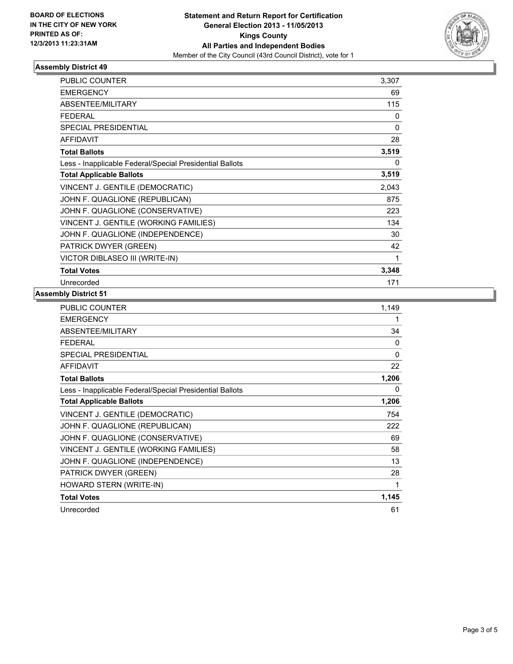

### **Assembly District 49**

| <b>PUBLIC COUNTER</b>                                    | 3,307        |
|----------------------------------------------------------|--------------|
| <b>EMERGENCY</b>                                         | 69           |
| ABSENTEE/MILITARY                                        | 115          |
| <b>FEDERAL</b>                                           | 0            |
| SPECIAL PRESIDENTIAL                                     | $\mathbf{0}$ |
| <b>AFFIDAVIT</b>                                         | 28           |
| <b>Total Ballots</b>                                     | 3,519        |
| Less - Inapplicable Federal/Special Presidential Ballots | 0            |
| <b>Total Applicable Ballots</b>                          | 3,519        |
| VINCENT J. GENTILE (DEMOCRATIC)                          | 2,043        |
| JOHN F. QUAGLIONE (REPUBLICAN)                           | 875          |
| JOHN F. QUAGLIONE (CONSERVATIVE)                         | 223          |
| VINCENT J. GENTILE (WORKING FAMILIES)                    | 134          |
| JOHN F. QUAGLIONE (INDEPENDENCE)                         | 30           |
| PATRICK DWYER (GREEN)                                    | 42           |
| VICTOR DIBLASEO III (WRITE-IN)                           | 1            |
| <b>Total Votes</b>                                       | 3,348        |
| Unrecorded                                               | 171          |

#### **Assembly District 51**

| PUBLIC COUNTER                                           | 1,149 |
|----------------------------------------------------------|-------|
| <b>EMERGENCY</b>                                         | 1     |
| ABSENTEE/MILITARY                                        | 34    |
| <b>FEDERAL</b>                                           | 0     |
| <b>SPECIAL PRESIDENTIAL</b>                              | 0     |
| <b>AFFIDAVIT</b>                                         | 22    |
| <b>Total Ballots</b>                                     | 1,206 |
| Less - Inapplicable Federal/Special Presidential Ballots | 0     |
| <b>Total Applicable Ballots</b>                          | 1,206 |
| VINCENT J. GENTILE (DEMOCRATIC)                          | 754   |
| JOHN F. QUAGLIONE (REPUBLICAN)                           | 222   |
| JOHN F. QUAGLIONE (CONSERVATIVE)                         | 69    |
| VINCENT J. GENTILE (WORKING FAMILIES)                    | 58    |
| JOHN F. QUAGLIONE (INDEPENDENCE)                         | 13    |
| PATRICK DWYER (GREEN)                                    | 28    |
| HOWARD STERN (WRITE-IN)                                  | 1     |
| <b>Total Votes</b>                                       | 1,145 |
| Unrecorded                                               | 61    |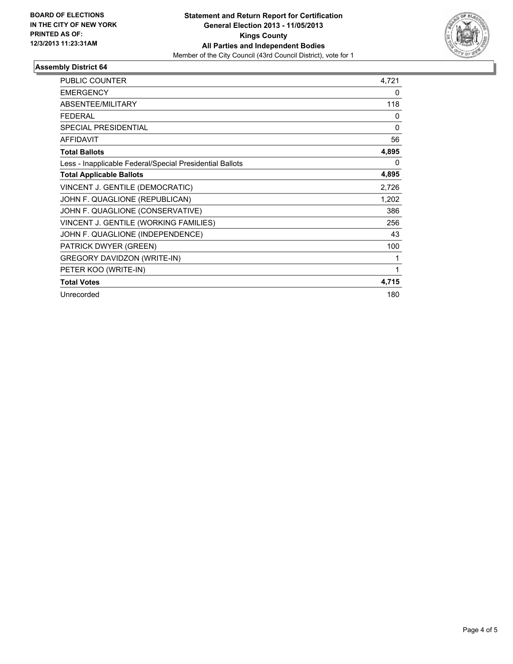

### **Assembly District 64**

| <b>PUBLIC COUNTER</b>                                    | 4,721    |
|----------------------------------------------------------|----------|
| <b>EMERGENCY</b>                                         | 0        |
| ABSENTEE/MILITARY                                        | 118      |
| <b>FEDERAL</b>                                           | 0        |
| <b>SPECIAL PRESIDENTIAL</b>                              | $\Omega$ |
| <b>AFFIDAVIT</b>                                         | 56       |
| <b>Total Ballots</b>                                     | 4,895    |
| Less - Inapplicable Federal/Special Presidential Ballots | 0        |
| <b>Total Applicable Ballots</b>                          | 4,895    |
| VINCENT J. GENTILE (DEMOCRATIC)                          | 2,726    |
| JOHN F. QUAGLIONE (REPUBLICAN)                           | 1,202    |
| JOHN F. QUAGLIONE (CONSERVATIVE)                         | 386      |
| VINCENT J. GENTILE (WORKING FAMILIES)                    | 256      |
| JOHN F. QUAGLIONE (INDEPENDENCE)                         | 43       |
| PATRICK DWYER (GREEN)                                    | 100      |
| <b>GREGORY DAVIDZON (WRITE-IN)</b>                       | 1        |
| PETER KOO (WRITE-IN)                                     | 1        |
| <b>Total Votes</b>                                       | 4,715    |
| Unrecorded                                               | 180      |